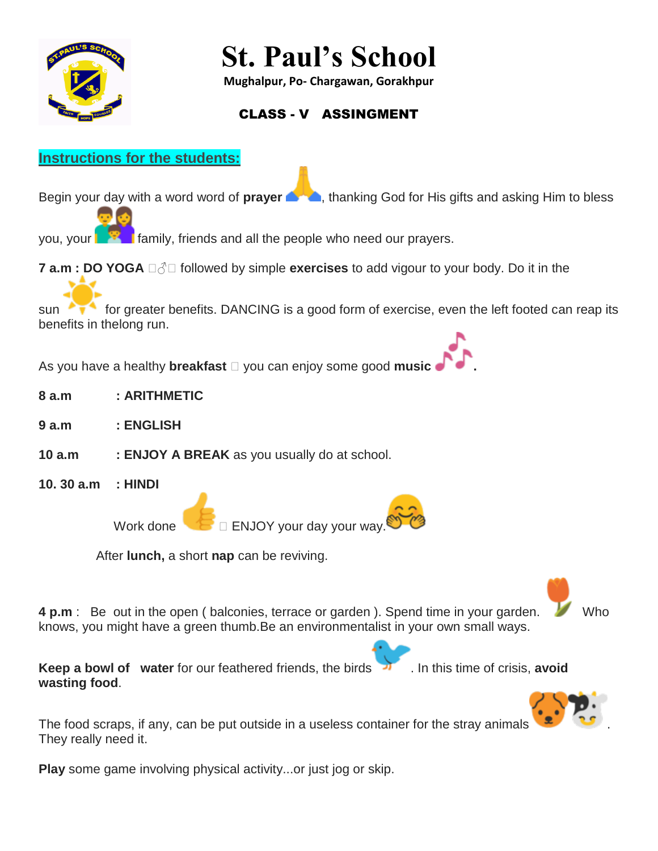

# **St. Paul's School**

**Mughalpur, Po- Chargawan, Gorakhpur**

# CLASS - V ASSINGMENT

## **Instructions for the students:**

Begin your day with a word word of **prayer** , thanking God for His gifts and asking Him to bless

you, your **Family, friends and all the people who need our prayers.** 

**7 a.m : DO YOGA**  $\Box \Diamond \Box$  followed by simple **exercises** to add vigour to your body. Do it in the

sun **for greater benefits. DANCING is a good form of exercise, even the left footed can reap its** benefits in thelong run.

As you have a healthy **breakfast** you can enjoy some good **music .**

- **8 a.m : ARITHMETIC**
- **9 a.m : ENGLISH**
- **10 a.m : ENJOY A BREAK** as you usually do at school.
- **10. 30 a.m : HINDI**

Work done  $\Box$  ENJOY your day your way.

After **lunch,** a short **nap** can be reviving.

**4 p.m** : Be out in the open ( balconies, terrace or garden ). Spend time in your garden. knows, you might have a green thumb.Be an environmentalist in your own small ways.

**Keep a bowl of water** for our feathered friends, the birds . In this time of crisis, **avoid wasting food**.



The food scraps, if any, can be put outside in a useless container for the stray animals They really need it.

**Play** some game involving physical activity...or just jog or skip.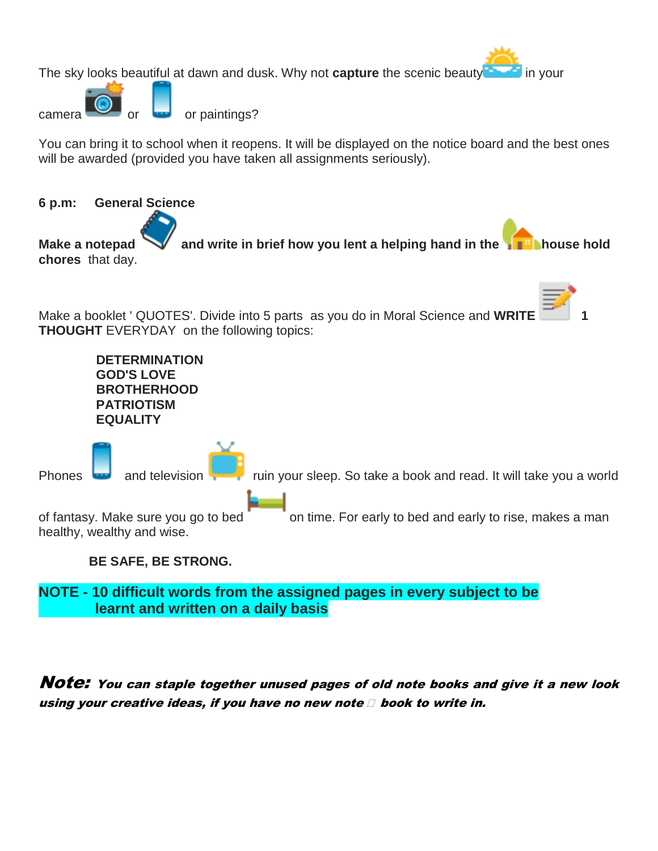The sky looks beautiful at dawn and dusk. Why not **capture** the scenic beauty in your

or paintings?

You can bring it to school when it reopens. It will be displayed on the notice board and the best ones will be awarded (provided you have taken all assignments seriously).



**NOTE - 10 difficult words from the assigned pages in every subject to be learnt and written on a daily basis**

Note: You can staple together unused pages of old note books and give it a new look using your creative ideas, if you have no new note  $\Box$  book to write in.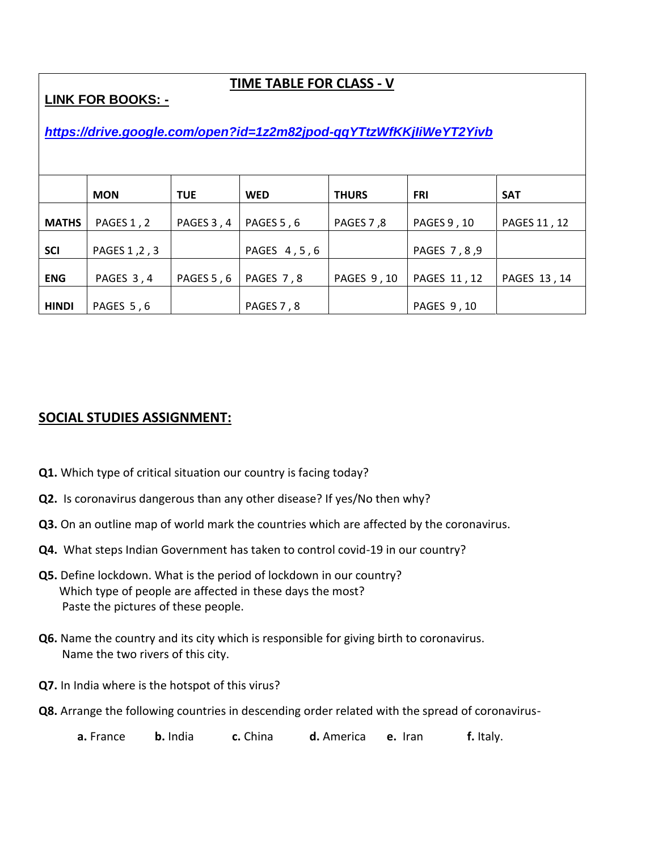#### **TIME TABLE FOR CLASS - V**

**LINK FOR BOOKS: -** 

### *<https://drive.google.com/open?id=1z2m82jpod-qqYTtzWfKKjIiWeYT2Yivb>*

|              | <b>MON</b>    | <b>TUE</b> | <b>WED</b>  | <b>THURS</b> | <b>FRI</b>    | <b>SAT</b>   |
|--------------|---------------|------------|-------------|--------------|---------------|--------------|
| <b>MATHS</b> | PAGES 1, 2    | PAGES 3, 4 | PAGES 5, 6  | PAGES 7,8    | PAGES 9, 10   | PAGES 11, 12 |
| <b>SCI</b>   | PAGES 1, 2, 3 |            | PAGES 4,5,6 |              | PAGES 7, 8, 9 |              |
| <b>ENG</b>   | PAGES 3,4     | PAGES 5, 6 | PAGES 7,8   | PAGES 9, 10  | PAGES 11, 12  | PAGES 13, 14 |
| <b>HINDI</b> | PAGES 5,6     |            | PAGES 7, 8  |              | PAGES 9, 10   |              |

#### **SOCIAL STUDIES ASSIGNMENT:**

- **Q1.** Which type of critical situation our country is facing today?
- **Q2.** Is coronavirus dangerous than any other disease? If yes/No then why?
- **Q3.** On an outline map of world mark the countries which are affected by the coronavirus.
- **Q4.** What steps Indian Government has taken to control covid-19 in our country?
- **Q5.** Define lockdown. What is the period of lockdown in our country? Which type of people are affected in these days the most? Paste the pictures of these people.
- **Q6.** Name the country and its city which is responsible for giving birth to coronavirus. Name the two rivers of this city.
- **Q7.** In India where is the hotspot of this virus?
- **Q8.** Arrange the following countries in descending order related with the spread of coronavirus-

**a.** France **b.** India **c.** China **d.** America **e.** Iran **f.** Italy.